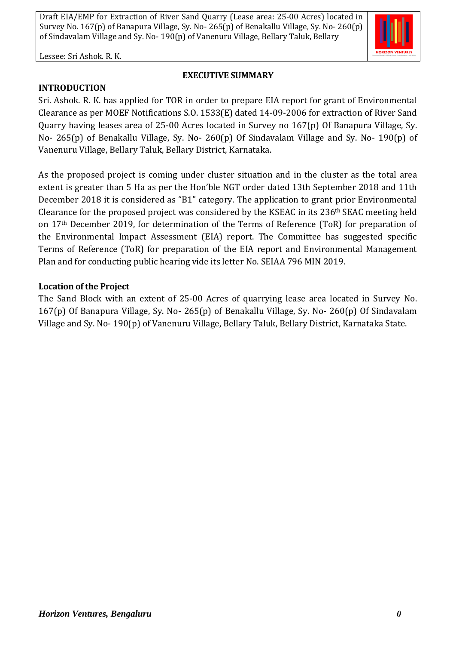Lessee: Sri Ashok. R. K.

## **EXECUTIVE SUMMARY**

**INTRODUCTION**

Sri. Ashok. R. K. has applied for TOR in order to prepare EIA report for grant of Environmental Clearance as per MOEF Notifications S.O. 1533(E) dated 14-09-2006 for extraction of River Sand Quarry having leases area of 25-00 Acres located in Survey no 167(p) Of Banapura Village, Sy. No- 265(p) of Benakallu Village, Sy. No- 260(p) Of Sindavalam Village and Sy. No- 190(p) of Vanenuru Village, Bellary Taluk, Bellary District, Karnataka.

As the proposed project is coming under cluster situation and in the cluster as the total area extent is greater than 5 Ha as per the Hon'ble NGT order dated 13th September 2018 and 11th December 2018 it is considered as "B1" category. The application to grant prior Environmental Clearance for the proposed project was considered by the KSEAC in its 236th SEAC meeting held on 17th December 2019, for determination of the Terms of Reference (ToR) for preparation of the Environmental Impact Assessment (EIA) report. The Committee has suggested specific Terms of Reference (ToR) for preparation of the EIA report and Environmental Management Plan and for conducting public hearing vide its letter No. SEIAA 796 MIN 2019.

# **Location of the Project**

The Sand Block with an extent of 25-00 Acres of quarrying lease area located in Survey No. 167(p) Of Banapura Village, Sy. No- 265(p) of Benakallu Village, Sy. No- 260(p) Of Sindavalam Village and Sy. No- 190(p) of Vanenuru Village, Bellary Taluk, Bellary District, Karnataka State.

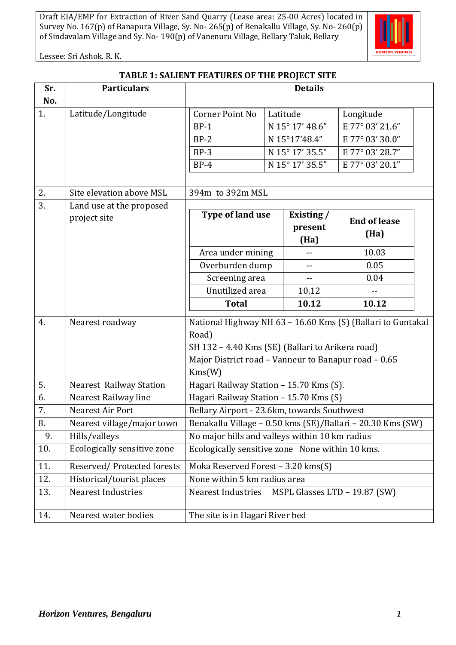

Lessee: Sri Ashok. R. K.

| TABLE 1: SALIENT FEATURES OF THE PROJECT SITE |  |
|-----------------------------------------------|--|
|                                               |  |

| Sr. | <b>Particulars</b>             | <b>Details</b>                                              |  |                 |                              |  |
|-----|--------------------------------|-------------------------------------------------------------|--|-----------------|------------------------------|--|
| No. |                                |                                                             |  |                 |                              |  |
| 1.  | Latitude/Longitude             | <b>Corner Point No</b>                                      |  | Latitude        | Longitude                    |  |
|     |                                | $BP-1$                                                      |  | N 15° 17' 48.6" | $\overline{E}$ 77° 03' 21.6" |  |
|     |                                | $BP-2$                                                      |  | N 15°17'48.4"   | E 77° 03' 30.0"              |  |
|     |                                | $BP-3$                                                      |  | N 15° 17' 35.5" | E 77° 03' 28.7"              |  |
|     |                                | $BP-4$                                                      |  | N 15° 17' 35.5" | E 77° 03' 20.1"              |  |
|     |                                |                                                             |  |                 |                              |  |
| 2.  | Site elevation above MSL       | 394m to 392m MSL                                            |  |                 |                              |  |
| 3.  | Land use at the proposed       |                                                             |  |                 |                              |  |
|     | project site                   | Type of land use                                            |  | Existing /      | <b>End of lease</b>          |  |
|     |                                |                                                             |  | present         | (Ha)                         |  |
|     |                                |                                                             |  | (Ha)            | 10.03                        |  |
|     |                                | Area under mining                                           |  | --              |                              |  |
|     |                                | Overburden dump<br>$\overline{\phantom{a}}$                 |  | 0.05            |                              |  |
|     |                                | Screening area<br>$-$<br>Unutilized area                    |  | 0.04            |                              |  |
|     |                                | <b>Total</b>                                                |  | 10.12<br>10.12  | 10.12                        |  |
|     |                                |                                                             |  |                 |                              |  |
| 4.  | Nearest roadway                | National Highway NH 63 - 16.60 Kms (S) (Ballari to Guntakal |  |                 |                              |  |
|     |                                | Road)                                                       |  |                 |                              |  |
|     |                                | SH 132 - 4.40 Kms (SE) (Ballari to Arikera road)            |  |                 |                              |  |
|     |                                | Major District road - Vanneur to Banapur road - 0.65        |  |                 |                              |  |
|     |                                | Kms(W)                                                      |  |                 |                              |  |
| 5.  | <b>Nearest Railway Station</b> | Hagari Railway Station - 15.70 Kms (S).                     |  |                 |                              |  |
| 6.  | Nearest Railway line           | Hagari Railway Station - 15.70 Kms (S)                      |  |                 |                              |  |
| 7.  | Nearest Air Port               | Bellary Airport - 23.6km, towards Southwest                 |  |                 |                              |  |
| 8.  | Nearest village/major town     | Benakallu Village - 0.50 kms (SE)/Ballari - 20.30 Kms (SW)  |  |                 |                              |  |
| 9.  | Hills/valleys                  | No major hills and valleys within 10 km radius              |  |                 |                              |  |
| 10. | Ecologically sensitive zone    | Ecologically sensitive zone None within 10 kms.             |  |                 |                              |  |
| 11. | Reserved/Protected forests     | Moka Reserved Forest - 3.20 kms(S)                          |  |                 |                              |  |
| 12. | Historical/tourist places      | None within 5 km radius area                                |  |                 |                              |  |
| 13. | <b>Nearest Industries</b>      | <b>Nearest Industries</b><br>MSPL Glasses LTD - 19.87 (SW)  |  |                 |                              |  |
| 14. | Nearest water bodies           | The site is in Hagari River bed                             |  |                 |                              |  |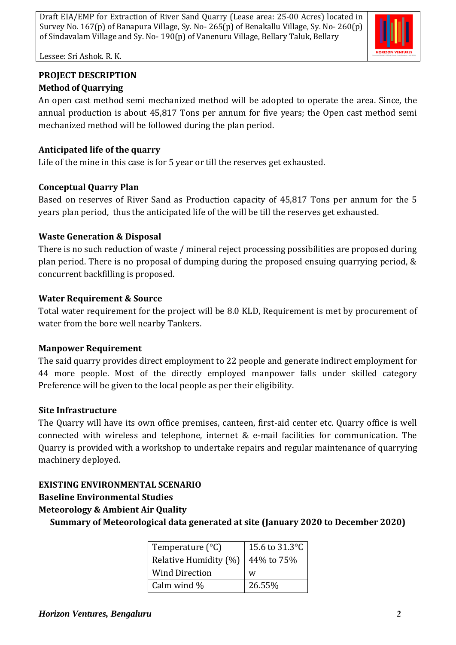

Lessee: Sri Ashok. R. K.

# **PROJECT DESCRIPTION Method of Quarrying**

An open cast method semi mechanized method will be adopted to operate the area. Since, the annual production is about 45,817 Tons per annum for five years; the Open cast method semi mechanized method will be followed during the plan period.

# **Anticipated life of the quarry**

Life of the mine in this case is for 5 year or till the reserves get exhausted.

# **Conceptual Quarry Plan**

Based on reserves of River Sand as Production capacity of 45,817 Tons per annum for the 5 years plan period, thus the anticipated life of the will be till the reserves get exhausted.

# **Waste Generation & Disposal**

There is no such reduction of waste / mineral reject processing possibilities are proposed during plan period. There is no proposal of dumping during the proposed ensuing quarrying period, & concurrent backfilling is proposed.

# **Water Requirement & Source**

Total water requirement for the project will be 8.0 KLD, Requirement is met by procurement of water from the bore well nearby Tankers.

# **Manpower Requirement**

The said quarry provides direct employment to 22 people and generate indirect employment for 44 more people. Most of the directly employed manpower falls under skilled category Preference will be given to the local people as per their eligibility.

# **Site Infrastructure**

The Quarry will have its own office premises, canteen, first-aid center etc. Quarry office is well connected with wireless and telephone, internet & e-mail facilities for communication. The Quarry is provided with a workshop to undertake repairs and regular maintenance of quarrying machinery deployed.

# **EXISTING ENVIRONMENTAL SCENARIO**

# **Baseline Environmental Studies**

# **Meteorology & Ambient Air Quality**

**Summary of Meteorological data generated at site (January 2020 to December 2020)**

| Temperature $(^{\circ}C)$ | 15.6 to 31.3 °C |  |  |
|---------------------------|-----------------|--|--|
| Relative Humidity (%)     | 44% to 75%      |  |  |
| <b>Wind Direction</b>     | w               |  |  |
| Calm wind %               | 26.55%          |  |  |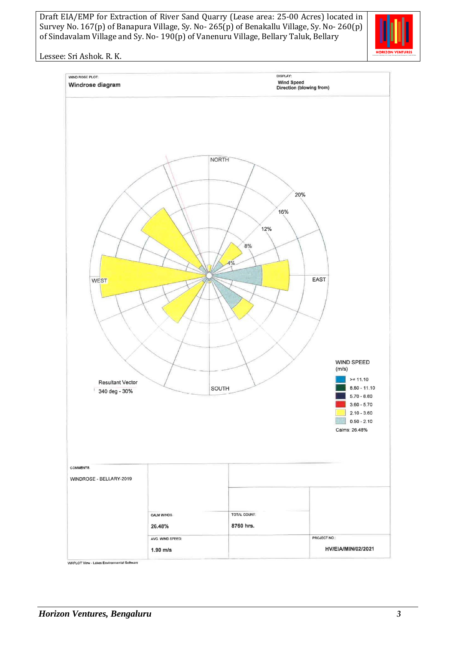

Lessee: Sri Ashok. R. K.

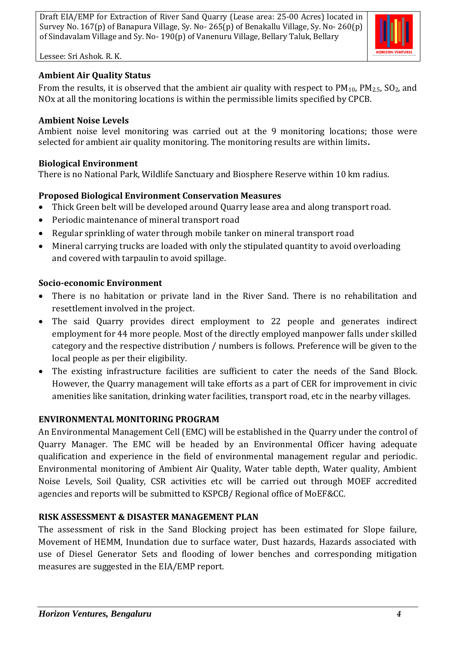

Lessee: Sri Ashok. R. K.

# **Ambient Air Quality Status**

From the results, it is observed that the ambient air quality with respect to  $PM_{10}$ ,  $PM_{2.5}$ ,  $SO_2$ , and NOx at all the monitoring locations is within the permissible limits specified by CPCB.

#### **Ambient Noise Levels**

Ambient noise level monitoring was carried out at the 9 monitoring locations; those were selected for ambient air quality monitoring. The monitoring results are within limits**.**

#### **Biological Environment**

There is no National Park, Wildlife Sanctuary and Biosphere Reserve within 10 km radius.

## **Proposed Biological Environment Conservation Measures**

- Thick Green belt will be developed around Quarry lease area and along transport road.
- Periodic maintenance of mineral transport road
- Regular sprinkling of water through mobile tanker on mineral transport road
- Mineral carrying trucks are loaded with only the stipulated quantity to avoid overloading and covered with tarpaulin to avoid spillage.

## **Socio-economic Environment**

- There is no habitation or private land in the River Sand. There is no rehabilitation and resettlement involved in the project.
- The said Quarry provides direct employment to 22 people and generates indirect employment for 44 more people. Most of the directly employed manpower falls under skilled category and the respective distribution / numbers is follows. Preference will be given to the local people as per their eligibility.
- The existing infrastructure facilities are sufficient to cater the needs of the Sand Block. However, the Quarry management will take efforts as a part of CER for improvement in civic amenities like sanitation, drinking water facilities, transport road, etc in the nearby villages.

# **ENVIRONMENTAL MONITORING PROGRAM**

An Environmental Management Cell (EMC) will be established in the Quarry under the control of Quarry Manager. The EMC will be headed by an Environmental Officer having adequate qualification and experience in the field of environmental management regular and periodic. Environmental monitoring of Ambient Air Quality, Water table depth, Water quality, Ambient Noise Levels, Soil Quality, CSR activities etc will be carried out through MOEF accredited agencies and reports will be submitted to KSPCB/ Regional office of MoEF&CC.

# **RISK ASSESSMENT & DISASTER MANAGEMENT PLAN**

The assessment of risk in the Sand Blocking project has been estimated for Slope failure, Movement of HEMM, Inundation due to surface water, Dust hazards, Hazards associated with use of Diesel Generator Sets and flooding of lower benches and corresponding mitigation measures are suggested in the EIA/EMP report.